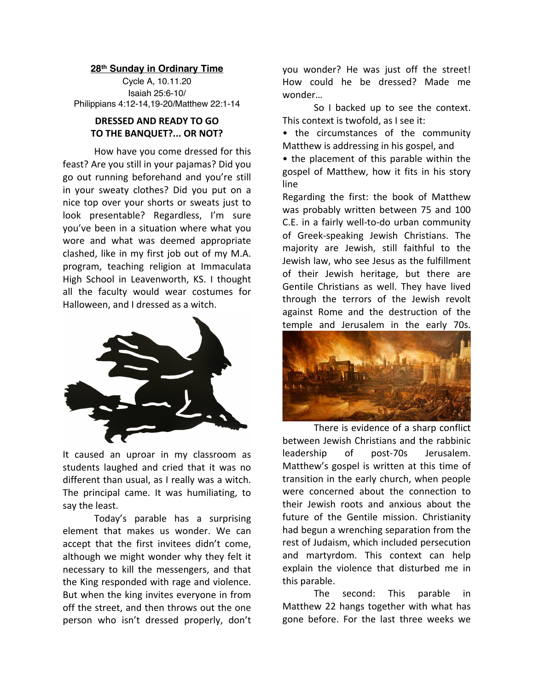## **28th Sunday in Ordinary Time**

Cycle A, 10.11.20 Isaiah 25:6-10/ Philippians 4:12-14,19-20/Matthew 22:1-14

## **DRESSED AND READY TO GO TO THE BANQUET?... OR NOT?**

How have you come dressed for this feast? Are you still in your pajamas? Did you go out running beforehand and you're still in your sweaty clothes? Did you put on a nice top over your shorts or sweats just to look presentable? Regardless, I'm sure you've been in a situation where what you wore and what was deemed appropriate clashed, like in my first job out of my M.A. program, teaching religion at Immaculata High School in Leavenworth, KS. I thought all the faculty would wear costumes for Halloween, and I dressed as a witch.



It caused an uproar in my classroom as students laughed and cried that it was no different than usual, as I really was a witch. The principal came. It was humiliating, to say the least.

Today's parable has a surprising element that makes us wonder. We can accept that the first invitees didn't come, although we might wonder why they felt it necessary to kill the messengers, and that the King responded with rage and violence. But when the king invites everyone in from off the street, and then throws out the one person who isn't dressed properly, don't

you wonder? He was just off the street! How could he be dressed? Made me wonder…

So I backed up to see the context. This context is twofold, as I see it:

• the circumstances of the community Matthew is addressing in his gospel, and

• the placement of this parable within the gospel of Matthew, how it fits in his story line

Regarding the first: the book of Matthew was probably written between 75 and 100 C.E. in a fairly well-to-do urban community of Greek-speaking Jewish Christians. The majority are Jewish, still faithful to the Jewish law, who see Jesus as the fulfillment of their Jewish heritage, but there are Gentile Christians as well. They have lived through the terrors of the Jewish revolt against Rome and the destruction of the temple and Jerusalem in the early 70s.



There is evidence of a sharp conflict between Jewish Christians and the rabbinic leadership of post-70s Jerusalem. Matthew's gospel is written at this time of transition in the early church, when people were concerned about the connection to their Jewish roots and anxious about the future of the Gentile mission. Christianity had begun a wrenching separation from the rest of Judaism, which included persecution and martyrdom. This context can help explain the violence that disturbed me in this parable.

The second: This parable in Matthew 22 hangs together with what has gone before. For the last three weeks we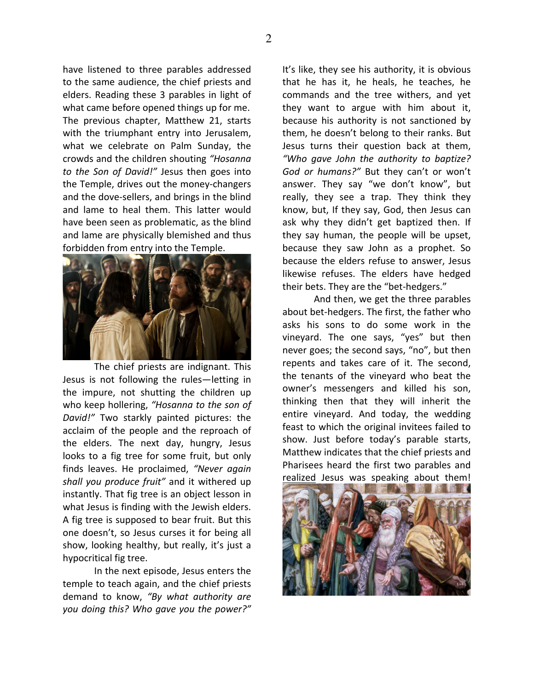have listened to three parables addressed to the same audience, the chief priests and elders. Reading these 3 parables in light of what came before opened things up for me. The previous chapter, Matthew 21, starts with the triumphant entry into Jerusalem, what we celebrate on Palm Sunday, the crowds and the children shouting *"Hosanna to the Son of David!"* Jesus then goes into the Temple, drives out the money-changers and the dove-sellers, and brings in the blind and lame to heal them. This latter would have been seen as problematic, as the blind and lame are physically blemished and thus forbidden from entry into the Temple.



The chief priests are indignant. This Jesus is not following the rules—letting in the impure, not shutting the children up who keep hollering, *"Hosanna to the son of David!"* Two starkly painted pictures: the acclaim of the people and the reproach of the elders. The next day, hungry, Jesus looks to a fig tree for some fruit, but only finds leaves. He proclaimed, *"Never again shall you produce fruit"* and it withered up instantly. That fig tree is an object lesson in what Jesus is finding with the Jewish elders. A fig tree is supposed to bear fruit. But this one doesn't, so Jesus curses it for being all show, looking healthy, but really, it's just a hypocritical fig tree.

In the next episode, Jesus enters the temple to teach again, and the chief priests demand to know, *"By what authority are you doing this? Who gave you the power?"*

It's like, they see his authority, it is obvious that he has it, he heals, he teaches, he commands and the tree withers, and yet they want to argue with him about it, because his authority is not sanctioned by them, he doesn't belong to their ranks. But Jesus turns their question back at them, *"Who gave John the authority to baptize? God or humans?"* But they can't or won't answer. They say "we don't know", but really, they see a trap. They think they know, but, If they say, God, then Jesus can ask why they didn't get baptized then. If they say human, the people will be upset, because they saw John as a prophet. So because the elders refuse to answer, Jesus likewise refuses. The elders have hedged their bets. They are the "bet-hedgers."

And then, we get the three parables about bet-hedgers. The first, the father who asks his sons to do some work in the vineyard. The one says, "yes" but then never goes; the second says, "no", but then repents and takes care of it. The second, the tenants of the vineyard who beat the owner's messengers and killed his son, thinking then that they will inherit the entire vineyard. And today, the wedding feast to which the original invitees failed to show. Just before today's parable starts, Matthew indicates that the chief priests and Pharisees heard the first two parables and realized Jesus was speaking about them!

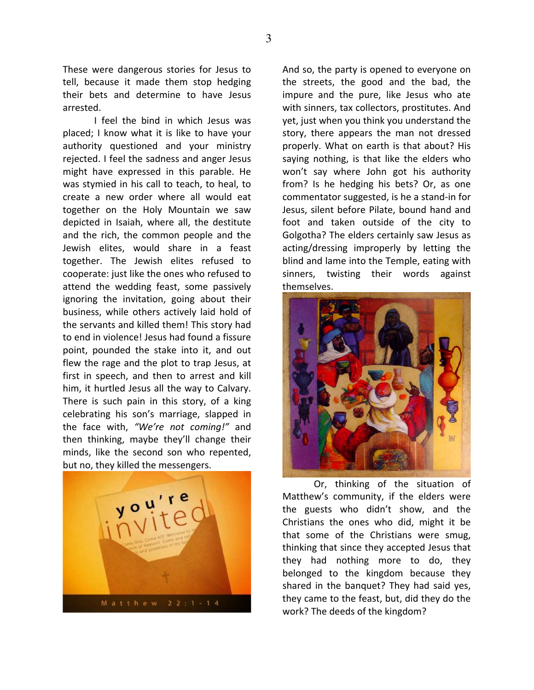These were dangerous stories for Jesus to tell, because it made them stop hedging their bets and determine to have Jesus arrested.

I feel the bind in which Jesus was placed; I know what it is like to have your authority questioned and your ministry rejected. I feel the sadness and anger Jesus might have expressed in this parable. He was stymied in his call to teach, to heal, to create a new order where all would eat together on the Holy Mountain we saw depicted in Isaiah, where all, the destitute and the rich, the common people and the Jewish elites, would share in a feast together. The Jewish elites refused to cooperate: just like the ones who refused to attend the wedding feast, some passively ignoring the invitation, going about their business, while others actively laid hold of the servants and killed them! This story had to end in violence! Jesus had found a fissure point, pounded the stake into it, and out flew the rage and the plot to trap Jesus, at first in speech, and then to arrest and kill him, it hurtled Jesus all the way to Calvary. There is such pain in this story, of a king celebrating his son's marriage, slapped in the face with, *"We're not coming!"* and then thinking, maybe they'll change their minds, like the second son who repented, but no, they killed the messengers.



And so, the party is opened to everyone on the streets, the good and the bad, the impure and the pure, like Jesus who ate with sinners, tax collectors, prostitutes. And yet, just when you think you understand the story, there appears the man not dressed properly. What on earth is that about? His saying nothing, is that like the elders who won't say where John got his authority from? Is he hedging his bets? Or, as one commentator suggested, is he a stand-in for Jesus, silent before Pilate, bound hand and foot and taken outside of the city to Golgotha? The elders certainly saw Jesus as acting/dressing improperly by letting the blind and lame into the Temple, eating with sinners, twisting their words against themselves.



Or, thinking of the situation of Matthew's community, if the elders were the guests who didn't show, and the Christians the ones who did, might it be that some of the Christians were smug, thinking that since they accepted Jesus that they had nothing more to do, they belonged to the kingdom because they shared in the banquet? They had said yes, they came to the feast, but, did they do the work? The deeds of the kingdom?